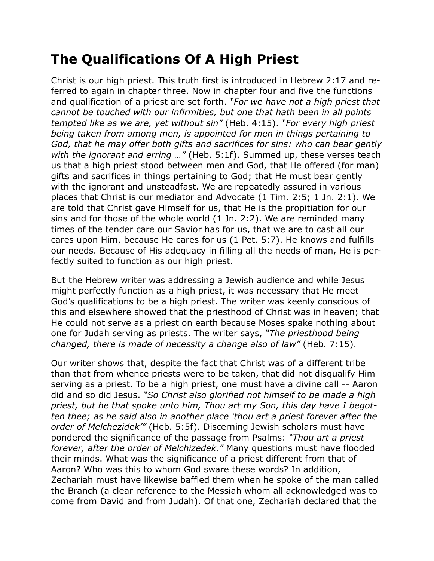## **The Qualifications Of A High Priest**

Christ is our high priest. This truth first is introduced in Hebrew 2:17 and referred to again in chapter three. Now in chapter four and five the functions and qualification of a priest are set forth. *"For we have not a high priest that cannot be touched with our infirmities, but one that hath been in all points tempted like as we are, yet without sin"* (Heb. 4:15). *"For every high priest being taken from among men, is appointed for men in things pertaining to God, that he may offer both gifts and sacrifices for sins: who can bear gently with the ignorant and erring …"* (Heb. 5:1f). Summed up, these verses teach us that a high priest stood between men and God, that He offered (for man) gifts and sacrifices in things pertaining to God; that He must bear gently with the ignorant and unsteadfast. We are repeatedly assured in various places that Christ is our mediator and Advocate (1 Tim. 2:5; 1 Jn. 2:1). We are told that Christ gave Himself for us, that He is the propitiation for our sins and for those of the whole world (1 Jn. 2:2). We are reminded many times of the tender care our Savior has for us, that we are to cast all our cares upon Him, because He cares for us (1 Pet. 5:7). He knows and fulfills our needs. Because of His adequacy in filling all the needs of man, He is perfectly suited to function as our high priest.

But the Hebrew writer was addressing a Jewish audience and while Jesus might perfectly function as a high priest, it was necessary that He meet God's qualifications to be a high priest. The writer was keenly conscious of this and elsewhere showed that the priesthood of Christ was in heaven; that He could not serve as a priest on earth because Moses spake nothing about one for Judah serving as priests. The writer says, *"The priesthood being changed, there is made of necessity a change also of law"* (Heb. 7:15).

Our writer shows that, despite the fact that Christ was of a different tribe than that from whence priests were to be taken, that did not disqualify Him serving as a priest. To be a high priest, one must have a divine call -- Aaron did and so did Jesus. *"So Christ also glorified not himself to be made a high priest, but he that spoke unto him, Thou art my Son, this day have I begotten thee; as he said also in another place 'thou art a priest forever after the order of Melchezidek'"* (Heb. 5:5f). Discerning Jewish scholars must have pondered the significance of the passage from Psalms: *"Thou art a priest forever, after the order of Melchizedek."* Many questions must have flooded their minds. What was the significance of a priest different from that of Aaron? Who was this to whom God sware these words? In addition, Zechariah must have likewise baffled them when he spoke of the man called the Branch (a clear reference to the Messiah whom all acknowledged was to come from David and from Judah). Of that one, Zechariah declared that the